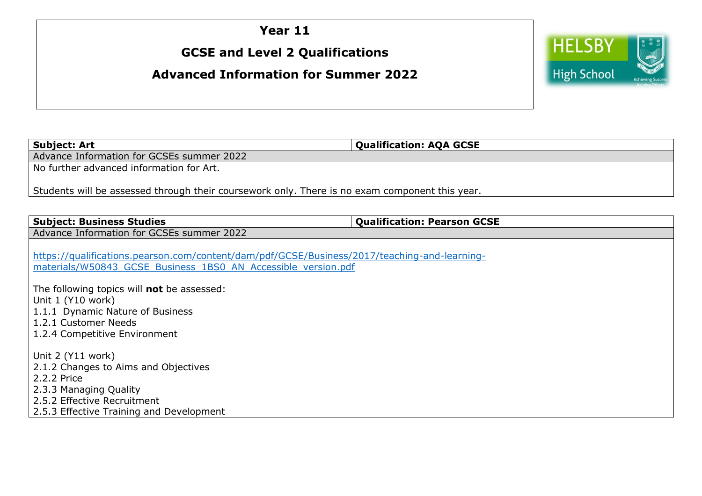## **Year 11**

## **GCSE and Level 2 Qualifications**

## **Advanced Information for Summer 2022**



**Subject: Art Subject: Art Subject: Art Qualification: AQA GCSE** 

Advance Information for GCSEs summer 2022

No further advanced information for Art.

Students will be assessed through their coursework only. There is no exam component this year.

**Subject: Business Studies Qualification: Pearson GCSE**

Advance Information for GCSEs summer 2022

[https://qualifications.pearson.com/content/dam/pdf/GCSE/Business/2017/teaching-and-learning](https://qualifications.pearson.com/content/dam/pdf/GCSE/Business/2017/teaching-and-learning-materials/W50843_GCSE_Business_1BS0_AN_Accessible_version.pdf)[materials/W50843\\_GCSE\\_Business\\_1BS0\\_AN\\_Accessible\\_version.pdf](https://qualifications.pearson.com/content/dam/pdf/GCSE/Business/2017/teaching-and-learning-materials/W50843_GCSE_Business_1BS0_AN_Accessible_version.pdf)

The following topics will **not** be assessed: Unit 1 (Y10 work) 1.1.1 Dynamic Nature of Business 1.2.1 Customer Needs 1.2.4 Competitive Environment

Unit 2 (Y11 work) 2.1.2 Changes to Aims and Objectives 2.2.2 Price 2.3.3 Managing Quality 2.5.2 Effective Recruitment 2.5.3 Effective Training and Development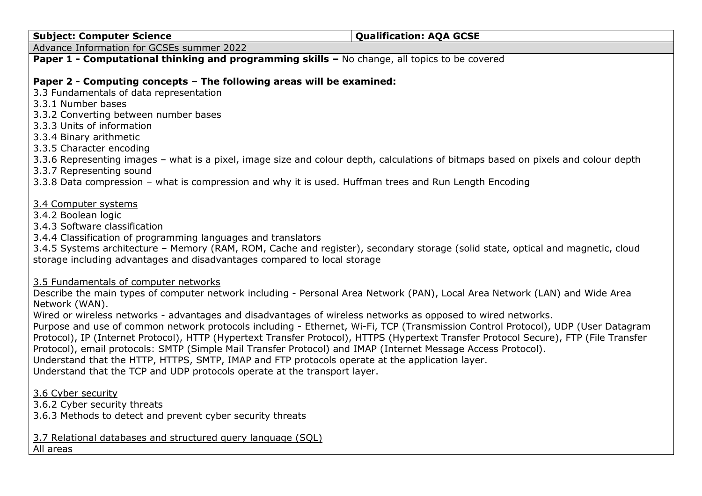#### **Subject: Computer Science COMENT COMPUTER COMPUTER COMPUTER COMPUTER A CONSTRUCTED A CONSTRUCTED A CONSTRUCTED A CONSTRUCTED A CONSTRUCTED A CONSTRUCTED A CONSTRUCTED A CONSTRUCTED A CONSTRUCTED A CONSTRUCTED A CONSTRU**

Advance Information for GCSEs summer 2022

## **Paper 1 - Computational thinking and programming skills – No change, all topics to be covered**

#### **Paper 2 - Computing concepts – The following areas will be examined:**

3.3 Fundamentals of data representation

3.3.1 Number bases

3.3.2 Converting between number bases

3.3.3 Units of information

3.3.4 Binary arithmetic

3.3.5 Character encoding

3.3.6 Representing images – what is a pixel, image size and colour depth, calculations of bitmaps based on pixels and colour depth

3.3.7 Representing sound

3.3.8 Data compression – what is compression and why it is used. Huffman trees and Run Length Encoding

3.4 Computer systems

3.4.2 Boolean logic

3.4.3 Software classification

3.4.4 Classification of programming languages and translators

3.4.5 Systems architecture – Memory (RAM, ROM, Cache and register), secondary storage (solid state, optical and magnetic, cloud storage including advantages and disadvantages compared to local storage

3.5 Fundamentals of computer networks

Describe the main types of computer network including - Personal Area Network (PAN), Local Area Network (LAN) and Wide Area Network (WAN).

Wired or wireless networks - advantages and disadvantages of wireless networks as opposed to wired networks.

Purpose and use of common network protocols including - Ethernet, Wi-Fi, TCP (Transmission Control Protocol), UDP (User Datagram Protocol), IP (Internet Protocol), HTTP (Hypertext Transfer Protocol), HTTPS (Hypertext Transfer Protocol Secure), FTP (File Transfer Protocol), email protocols: SMTP (Simple Mail Transfer Protocol) and IMAP (Internet Message Access Protocol).

Understand that the HTTP, HTTPS, SMTP, IMAP and FTP protocols operate at the application layer.

Understand that the TCP and UDP protocols operate at the transport layer.

3.6 Cyber security

3.6.2 Cyber security threats

3.6.3 Methods to detect and prevent cyber security threats

3.7 Relational databases and structured query language (SQL) All areas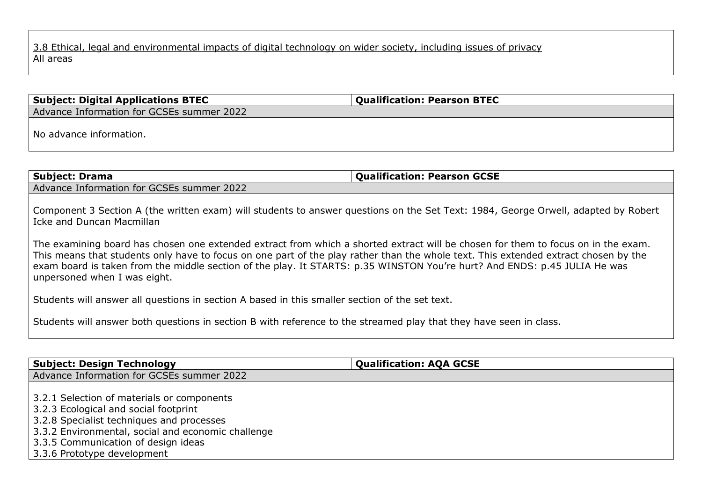## **Subject: Digital Applications BTEC Qualification: Pearson BTEC**

Advance Information for GCSEs summer 2022

No advance information.

| Subject: Drama                            | <b>Qualification: Pearson GCSE</b> |
|-------------------------------------------|------------------------------------|
| Advance Information for GCSEs summer 2022 |                                    |

Component 3 Section A (the written exam) will students to answer questions on the Set Text: 1984, George Orwell, adapted by Robert Icke and Duncan Macmillan

The examining board has chosen one extended extract from which a shorted extract will be chosen for them to focus on in the exam. This means that students only have to focus on one part of the play rather than the whole text. This extended extract chosen by the exam board is taken from the middle section of the play. It STARTS: p.35 WINSTON You're hurt? And ENDS: p.45 JULIA He was unpersoned when I was eight.

Students will answer all questions in section A based in this smaller section of the set text.

Students will answer both questions in section B with reference to the streamed play that they have seen in class.

| <b>Subject: Design Technology</b>                                                                                                                                                                                                                            | <b>Qualification: AQA GCSE</b> |  |
|--------------------------------------------------------------------------------------------------------------------------------------------------------------------------------------------------------------------------------------------------------------|--------------------------------|--|
| Advance Information for GCSEs summer 2022                                                                                                                                                                                                                    |                                |  |
| 3.2.1 Selection of materials or components<br>3.2.3 Ecological and social footprint<br>3.2.8 Specialist techniques and processes<br>3.3.2 Environmental, social and economic challenge<br>3.3.5 Communication of design ideas<br>3.3.6 Prototype development |                                |  |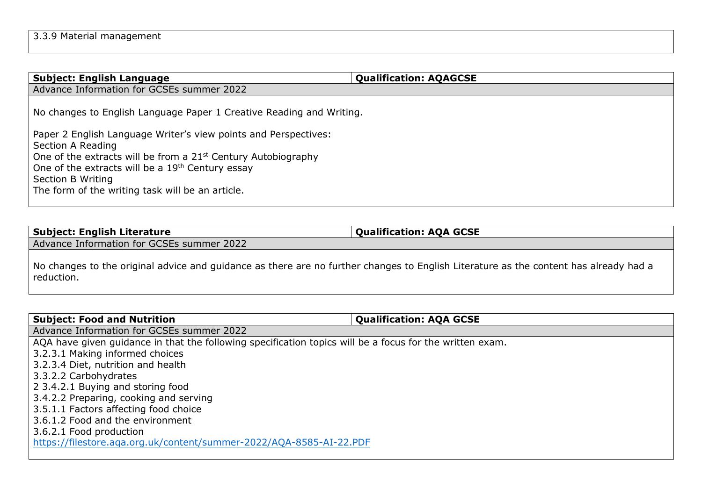| <b>Subject: English Language</b>                                          | <b>Qualification: AQAGCSE</b> |
|---------------------------------------------------------------------------|-------------------------------|
| Advance Information for GCSEs summer 2022                                 |                               |
| No changes to English Language Paper 1 Creative Reading and Writing.      |                               |
| Paper 2 English Language Writer's view points and Perspectives:           |                               |
| Section A Reading                                                         |                               |
| One of the extracts will be from a 21 <sup>st</sup> Century Autobiography |                               |
| One of the extracts will be a 19 <sup>th</sup> Century essay              |                               |
| Section B Writing                                                         |                               |
| The form of the writing task will be an article.                          |                               |
|                                                                           |                               |

| $^{\dagger}$ Subject: English Literature  | <b>Oualification: AOA GCSE</b> |
|-------------------------------------------|--------------------------------|
| Advance Information for GCSEs summer 2022 |                                |

No changes to the original advice and guidance as there are no further changes to English Literature as the content has already had a reduction.

| <b>Subject: Food and Nutrition</b>                                                                       | <b>Qualification: AQA GCSE</b> |  |
|----------------------------------------------------------------------------------------------------------|--------------------------------|--|
| Advance Information for GCSEs summer 2022                                                                |                                |  |
| AQA have given guidance in that the following specification topics will be a focus for the written exam. |                                |  |
| 3.2.3.1 Making informed choices                                                                          |                                |  |
| 3.2.3.4 Diet, nutrition and health                                                                       |                                |  |
| 3.3.2.2 Carbohydrates                                                                                    |                                |  |
| 2 3.4.2.1 Buying and storing food                                                                        |                                |  |
| 3.4.2.2 Preparing, cooking and serving                                                                   |                                |  |
| 3.5.1.1 Factors affecting food choice                                                                    |                                |  |
| 3.6.1.2 Food and the environment                                                                         |                                |  |
| 3.6.2.1 Food production                                                                                  |                                |  |
| https://filestore.aqa.org.uk/content/summer-2022/AQA-8585-AI-22.PDF                                      |                                |  |
|                                                                                                          |                                |  |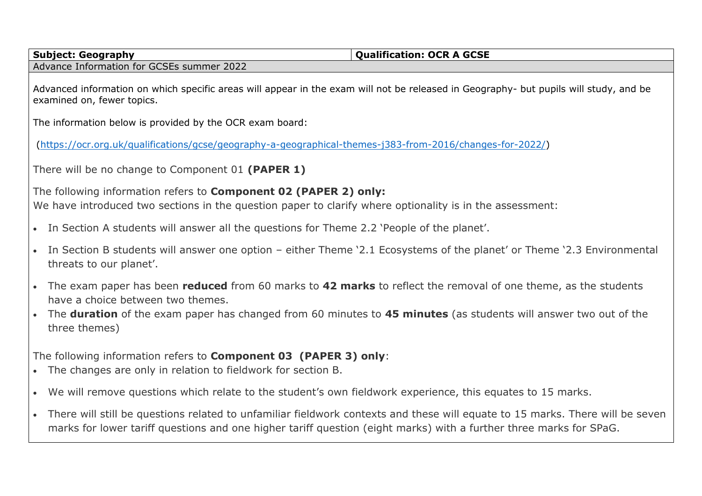**Subject: Geography Qualification: OCR A GCSE** 

Advance Information for GCSEs summer 2022

Advanced information on which specific areas will appear in the exam will not be released in Geography- but pupils will study, and be examined on, fewer topics.

The information below is provided by the OCR exam board:

[\(https://ocr.org.uk/qualifications/gcse/geography-a-geographical-themes-j383-from-2016/changes-for-2022/\)](https://ocr.org.uk/qualifications/gcse/geography-a-geographical-themes-j383-from-2016/changes-for-2022/)

There will be no change to Component 01 **(PAPER 1)**

The following information refers to **Component 02 (PAPER 2) only:**

We have introduced two sections in the question paper to clarify where optionality is in the assessment:

- In Section A students will answer all the questions for Theme 2.2 'People of the planet'.
- In Section B students will answer one option either Theme '2.1 Ecosystems of the planet' or Theme '2.3 Environmental threats to our planet'.
- The exam paper has been **reduced** from 60 marks to **42 marks** to reflect the removal of one theme, as the students have a choice between two themes.
- The **duration** of the exam paper has changed from 60 minutes to **45 minutes** (as students will answer two out of the three themes)

The following information refers to **Component 03 (PAPER 3) only**:

- The changes are only in relation to fieldwork for section B.
- We will remove questions which relate to the student's own fieldwork experience, this equates to 15 marks.
- There will still be questions related to unfamiliar fieldwork contexts and these will equate to 15 marks. There will be seven marks for lower tariff questions and one higher tariff question (eight marks) with a further three marks for SPaG.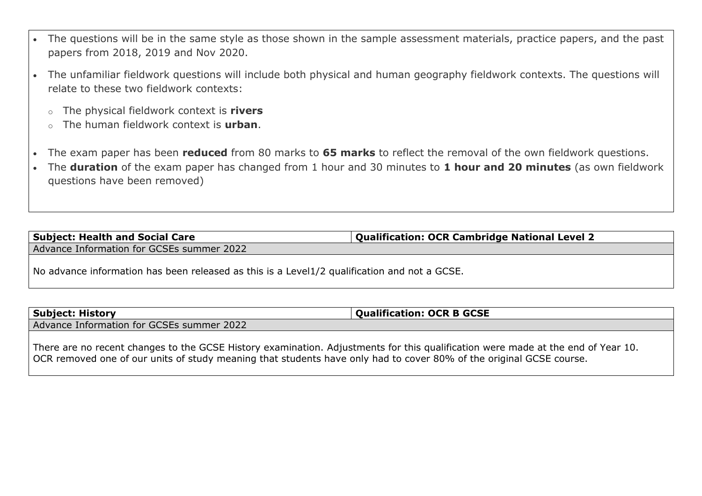- The questions will be in the same style as those shown in the sample assessment materials, practice papers, and the past papers from 2018, 2019 and Nov 2020.
- The unfamiliar fieldwork questions will include both physical and human geography fieldwork contexts. The questions will relate to these two fieldwork contexts:
	- o The physical fieldwork context is **rivers**
	- o The human fieldwork context is **urban**.
- The exam paper has been **reduced** from 80 marks to **65 marks** to reflect the removal of the own fieldwork questions.
- The **duration** of the exam paper has changed from 1 hour and 30 minutes to **1 hour and 20 minutes** (as own fieldwork questions have been removed)

**Subject: Health and Social Care Qualification: OCR Cambridge National Level 2** Advance Information for GCSEs summer 2022

No advance information has been released as this is a Level1/2 qualification and not a GCSE.

# **Subject: History COVID-100 COVID-100 COVID-100 COVID-100 COVID-100 COVID-100 COVID-100 COVID-100 COVID-100 COVID-100 COVID-100 COVID-100 COVID-100 COVID-100 COVID-100 COVID-100 COVID-100 COVID-100 COVID-100 COVID-100 CO**

Advance Information for GCSEs summer 2022

There are no recent changes to the GCSE History examination. Adjustments for this qualification were made at the end of Year 10. OCR removed one of our units of study meaning that students have only had to cover 80% of the original GCSE course.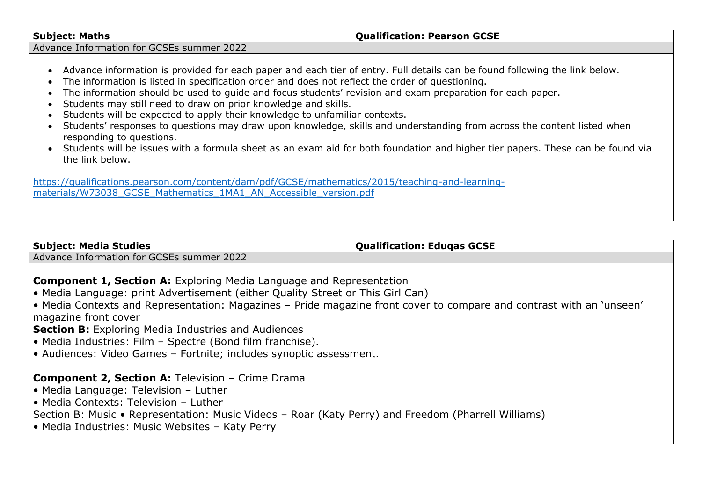#### **Subject: Maths Qualification: Pearson GCSE**

Advance Information for GCSEs summer 2022

- Advance information is provided for each paper and each tier of entry. Full details can be found following the link below.
- The information is listed in specification order and does not reflect the order of questioning.
- The information should be used to guide and focus students' revision and exam preparation for each paper.
- Students may still need to draw on prior knowledge and skills.
- Students will be expected to apply their knowledge to unfamiliar contexts.
- Students' responses to questions may draw upon knowledge, skills and understanding from across the content listed when responding to questions.
- Students will be issues with a formula sheet as an exam aid for both foundation and higher tier papers. These can be found via the link below.

[https://qualifications.pearson.com/content/dam/pdf/GCSE/mathematics/2015/teaching-and-learning](https://qualifications.pearson.com/content/dam/pdf/GCSE/mathematics/2015/teaching-and-learning-materials/W73038_GCSE_Mathematics_1MA1_AN_Accessible_version.pdf)[materials/W73038\\_GCSE\\_Mathematics\\_1MA1\\_AN\\_Accessible\\_version.pdf](https://qualifications.pearson.com/content/dam/pdf/GCSE/mathematics/2015/teaching-and-learning-materials/W73038_GCSE_Mathematics_1MA1_AN_Accessible_version.pdf)

**Subject: Media Studies COVE 2018 Qualification: Eduqas GCSE** 

Advance Information for GCSEs summer 2022

## **Component 1, Section A:** Exploring Media Language and Representation

- Media Language: print Advertisement (either Quality Street or This Girl Can)
- Media Contexts and Representation: Magazines Pride magazine front cover to compare and contrast with an 'unseen' magazine front cover

**Section B:** Exploring Media Industries and Audiences

- Media Industries: Film Spectre (Bond film franchise).
- Audiences: Video Games Fortnite; includes synoptic assessment.

## **Component 2, Section A:** Television – Crime Drama

- Media Language: Television Luther
- Media Contexts: Television Luther

Section B: Music • Representation: Music Videos – Roar (Katy Perry) and Freedom (Pharrell Williams)

• Media Industries: Music Websites – Katy Perry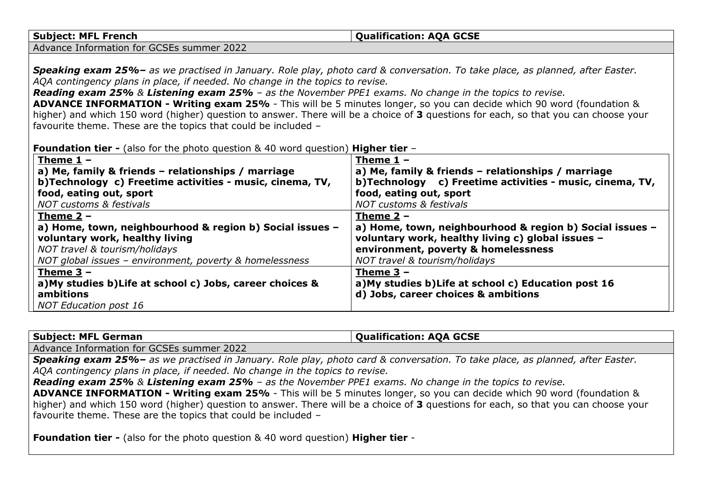#### **Subject: MFL French Qualification: AQA GCSE**

Advance Information for GCSEs summer 2022

*Speaking exam 25%– as we practised in January. Role play, photo card & conversation. To take place, as planned, after Easter. AQA contingency plans in place, if needed. No change in the topics to revise.*

*Reading exam 25% & Listening exam 25% – as the November PPE1 exams. No change in the topics to revise.*

**ADVANCE INFORMATION - Writing exam 25%** - This will be 5 minutes longer, so you can decide which 90 word (foundation & higher) and which 150 word (higher) question to answer. There will be a choice of **3** questions for each, so that you can choose your favourite theme. These are the topics that could be included –

| <b>Foundation tier -</b> (also for the photo question $\&$ 40 word question) <b>Higher tier</b> - |  |  |  |  |  |
|---------------------------------------------------------------------------------------------------|--|--|--|--|--|
|---------------------------------------------------------------------------------------------------|--|--|--|--|--|

| Theme $1 -$<br>a) Me, family & friends - relationships / marriage | Theme $1 -$<br>a) Me, family & friends - relationships / marriage |
|-------------------------------------------------------------------|-------------------------------------------------------------------|
| b)Technology c) Freetime activities - music, cinema, TV,          | b)Technology c) Freetime activities - music, cinema, TV,          |
| food, eating out, sport                                           | food, eating out, sport                                           |
| <b>NOT customs &amp; festivals</b>                                | <b>NOT customs &amp; festivals</b>                                |
| Theme $2 -$                                                       | Theme $2 -$                                                       |
| a) Home, town, neighbourhood & region b) Social issues -          | a) Home, town, neighbourhood & region b) Social issues -          |
| voluntary work, healthy living                                    | voluntary work, healthy living c) global issues -                 |
| NOT travel & tourism/holidays                                     | environment, poverty & homelessness                               |
| NOT global issues - environment, poverty & homelessness           | NOT travel & tourism/holidays                                     |
| Theme $3 -$                                                       | Theme $3 -$                                                       |
| a) My studies b) Life at school c) Jobs, career choices &         | a) My studies b) Life at school c) Education post 16              |
| ambitions                                                         | d) Jobs, career choices & ambitions                               |
| NOT Education post 16                                             |                                                                   |

**Subject: MFL German Qualification: AOA GCSE** 

Advance Information for GCSEs summer 2022

*Speaking exam 25%– as we practised in January. Role play, photo card & conversation. To take place, as planned, after Easter. AQA contingency plans in place, if needed. No change in the topics to revise.*

*Reading exam 25% & Listening exam 25% – as the November PPE1 exams. No change in the topics to revise.*

**ADVANCE INFORMATION - Writing exam 25%** - This will be 5 minutes longer, so you can decide which 90 word (foundation & higher) and which 150 word (higher) question to answer. There will be a choice of **3** questions for each, so that you can choose your favourite theme. These are the topics that could be included –

**Foundation tier -** (also for the photo question & 40 word question) **Higher tier** -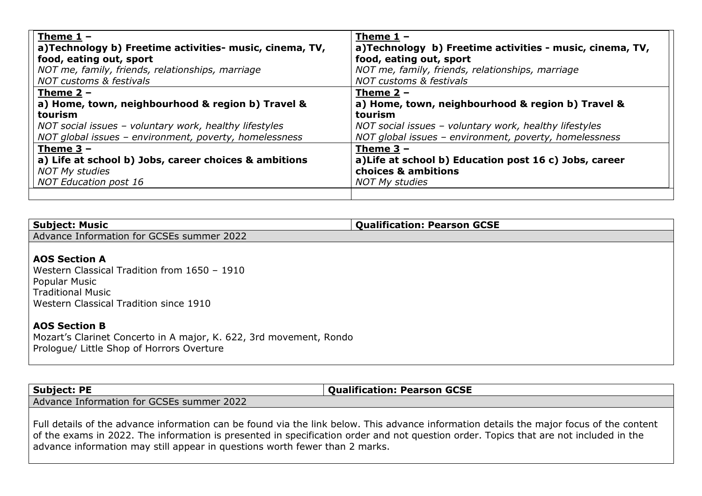| Theme $1 -$                                             | Theme $1 -$                                              |
|---------------------------------------------------------|----------------------------------------------------------|
| a)Technology b) Freetime activities- music, cinema, TV, | a)Technology b) Freetime activities - music, cinema, TV, |
| food, eating out, sport                                 | food, eating out, sport                                  |
| NOT me, family, friends, relationships, marriage        | NOT me, family, friends, relationships, marriage         |
| <b>NOT customs &amp; festivals</b>                      | <b>NOT customs &amp; festivals</b>                       |
| Theme $2 -$                                             | Theme $2 -$                                              |
| a) Home, town, neighbourhood & region b) Travel &       | a) Home, town, neighbourhood & region b) Travel &        |
| tourism                                                 | tourism                                                  |
| NOT social issues - voluntary work, healthy lifestyles  | NOT social issues - voluntary work, healthy lifestyles   |
| NOT global issues - environment, poverty, homelessness  | NOT global issues - environment, poverty, homelessness   |
| Theme $3 -$                                             | Theme $3 -$                                              |
| a) Life at school b) Jobs, career choices & ambitions   | a) Life at school b) Education post 16 c) Jobs, career   |
| <b>NOT My studies</b>                                   | choices & ambitions                                      |
| <b>NOT Education post 16</b>                            | <b>NOT My studies</b>                                    |
|                                                         |                                                          |

| <b>Subject: Music</b>                     | <b>Qualification: Pearson GCSE</b> |
|-------------------------------------------|------------------------------------|
| Advance Information for GCSEs summer 2022 |                                    |
|                                           |                                    |

#### **AOS Section A**

Western Classical Tradition from 1650 – 1910 Popular Music Traditional Music Western Classical Tradition since 1910

#### **AOS Section B**

Mozart's Clarinet Concerto in A major, K. 622, 3rd movement, Rondo Prologue/ Little Shop of Horrors Overture

| <b>Subject: PE</b>                           | <b>Oualification:</b><br><b>Pearson GCSE</b> |
|----------------------------------------------|----------------------------------------------|
| 2022<br>Advance Information for GCSEs summer |                                              |
|                                              |                                              |

Full details of the advance information can be found via the link below. This advance information details the major focus of the content of the exams in 2022. The information is presented in specification order and not question order. Topics that are not included in the advance information may still appear in questions worth fewer than 2 marks.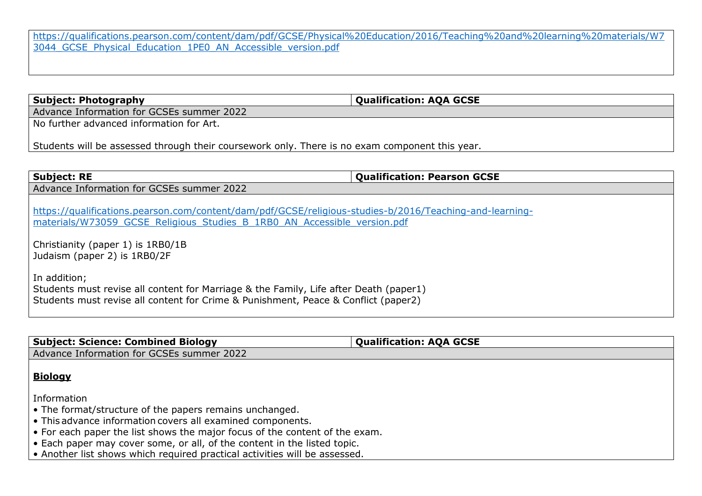[https://qualifications.pearson.com/content/dam/pdf/GCSE/Physical%20Education/2016/Teaching%20and%20learning%20materials/W7](https://qualifications.pearson.com/content/dam/pdf/GCSE/Physical%20Education/2016/Teaching%20and%20learning%20materials/W73044_GCSE_Physical_Education_1PE0_AN_Accessible_version.pdf) [3044\\_GCSE\\_Physical\\_Education\\_1PE0\\_AN\\_Accessible\\_version.pdf](https://qualifications.pearson.com/content/dam/pdf/GCSE/Physical%20Education/2016/Teaching%20and%20learning%20materials/W73044_GCSE_Physical_Education_1PE0_AN_Accessible_version.pdf)

**Subject: Photography Qualification: AQA GCSE** 

Advance Information for GCSEs summer 2022

No further advanced information for Art.

Students will be assessed through their coursework only. There is no exam component this year.

| <b>Subject: RE</b>                                                                                                                                                                          | <b>Qualification: Pearson GCSE</b> |
|---------------------------------------------------------------------------------------------------------------------------------------------------------------------------------------------|------------------------------------|
| Advance Information for GCSEs summer 2022                                                                                                                                                   |                                    |
| https://qualifications.pearson.com/content/dam/pdf/GCSE/religious-studies-b/2016/Teaching-and-learning-<br>materials/W73059 GCSE Religious Studies B 1RB0 AN Accessible version.pdf         |                                    |
| Christianity (paper 1) is 1RB0/1B<br>Judaism (paper 2) is 1RB0/2F                                                                                                                           |                                    |
| In addition;<br>Students must revise all content for Marriage & the Family, Life after Death (paper1)<br>Students must revise all content for Crime & Punishment, Peace & Conflict (paper2) |                                    |

| <b>Subject: Science: Combined Biology</b>                                   | <b>Qualification: AQA GCSE</b> |
|-----------------------------------------------------------------------------|--------------------------------|
| Advance Information for GCSEs summer 2022                                   |                                |
|                                                                             |                                |
| <b>Biology</b>                                                              |                                |
| Information                                                                 |                                |
| • The format/structure of the papers remains unchanged.                     |                                |
| • This advance information covers all examined components.                  |                                |
| • For each paper the list shows the major focus of the content of the exam. |                                |
| • Each paper may cover some, or all, of the content in the listed topic.    |                                |
| • Another list shows which required practical activities will be assessed.  |                                |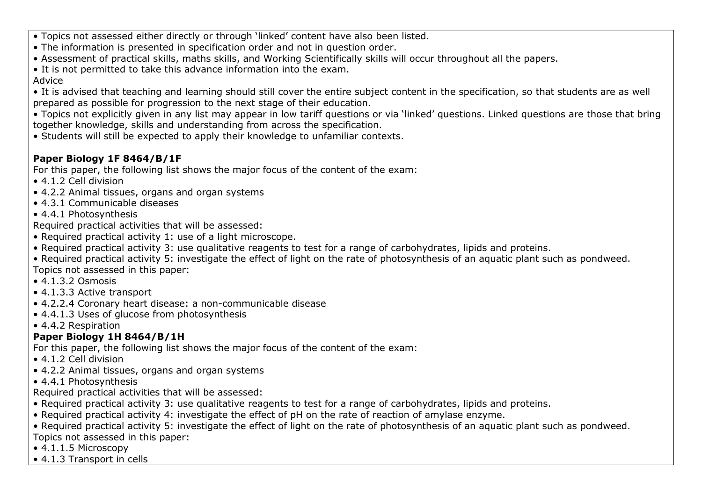- Topics not assessed either directly or through 'linked' content have also been listed.
- The information is presented in specification order and not in question order.
- Assessment of practical skills, maths skills, and Working Scientifically skills will occur throughout all the papers.
- It is not permitted to take this advance information into the exam.
- Advice
- It is advised that teaching and learning should still cover the entire subject content in the specification, so that students are as well prepared as possible for progression to the next stage of their education.
- Topics not explicitly given in any list may appear in low tariff questions or via 'linked' questions. Linked questions are those that bring together knowledge, skills and understanding from across the specification.
- Students will still be expected to apply their knowledge to unfamiliar contexts.

## **Paper Biology 1F 8464/B/1F**

For this paper, the following list shows the major focus of the content of the exam:

- 4.1.2 Cell division
- 4.2.2 Animal tissues, organs and organ systems
- 4.3.1 Communicable diseases
- 4.4.1 Photosynthesis

Required practical activities that will be assessed:

- Required practical activity 1: use of a light microscope.
- Required practical activity 3: use qualitative reagents to test for a range of carbohydrates, lipids and proteins.
- Required practical activity 5: investigate the effect of light on the rate of photosynthesis of an aquatic plant such as pondweed. Topics not assessed in this paper:
- 4.1.3.2 Osmosis
- 4.1.3.3 Active transport
- 4.2.2.4 Coronary heart disease: a non-communicable disease
- 4.4.1.3 Uses of glucose from photosynthesis
- 4.4.2 Respiration

## **Paper Biology 1H 8464/B/1H**

For this paper, the following list shows the major focus of the content of the exam:

- 4.1.2 Cell division
- 4.2.2 Animal tissues, organs and organ systems
- 4.4.1 Photosynthesis

Required practical activities that will be assessed:

- Required practical activity 3: use qualitative reagents to test for a range of carbohydrates, lipids and proteins.
- Required practical activity 4: investigate the effect of pH on the rate of reaction of amylase enzyme.

• Required practical activity 5: investigate the effect of light on the rate of photosynthesis of an aquatic plant such as pondweed. Topics not assessed in this paper:

- 4.1.1.5 Microscopy
- 4.1.3 Transport in cells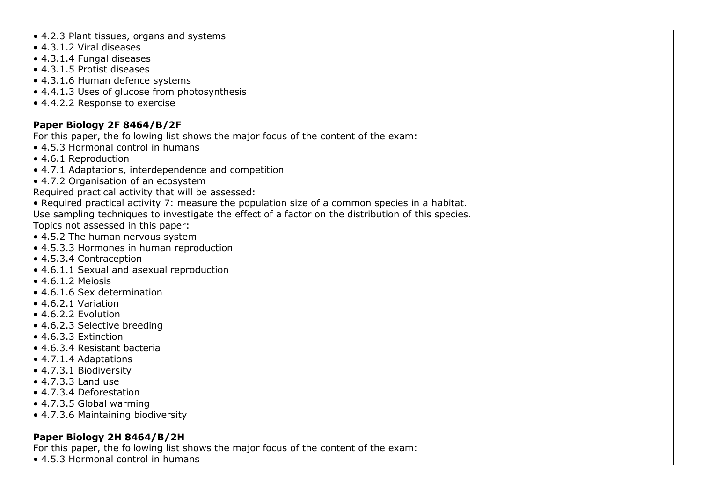- 4.2.3 Plant tissues, organs and systems
- 4.3.1.2 Viral diseases
- 4.3.1.4 Fungal diseases
- 4.3.1.5 Protist diseases
- 4.3.1.6 Human defence systems
- 4.4.1.3 Uses of glucose from photosynthesis
- 4.4.2.2 Response to exercise

## **Paper Biology 2F 8464/B/2F**

For this paper, the following list shows the major focus of the content of the exam:

- 4.5.3 Hormonal control in humans
- 4.6.1 Reproduction
- 4.7.1 Adaptations, interdependence and competition
- 4.7.2 Organisation of an ecosystem

Required practical activity that will be assessed:

• Required practical activity 7: measure the population size of a common species in a habitat. Use sampling techniques to investigate the effect of a factor on the distribution of this species. Topics not assessed in this paper:

- 4.5.2 The human nervous system
- 4.5.3.3 Hormones in human reproduction
- 4.5.3.4 Contraception
- 4.6.1.1 Sexual and asexual reproduction
- 4.6.1.2 Meiosis
- 4.6.1.6 Sex determination
- 4.6.2.1 Variation
- 4.6.2.2 Evolution
- 4.6.2.3 Selective breeding
- 4.6.3.3 Extinction
- 4.6.3.4 Resistant bacteria
- 4.7.1.4 Adaptations
- 4.7.3.1 Biodiversity
- 4.7.3.3 Land use
- 4.7.3.4 Deforestation
- 4.7.3.5 Global warming
- 4.7.3.6 Maintaining biodiversity

## **Paper Biology 2H 8464/B/2H**

For this paper, the following list shows the major focus of the content of the exam:

• 4.5.3 Hormonal control in humans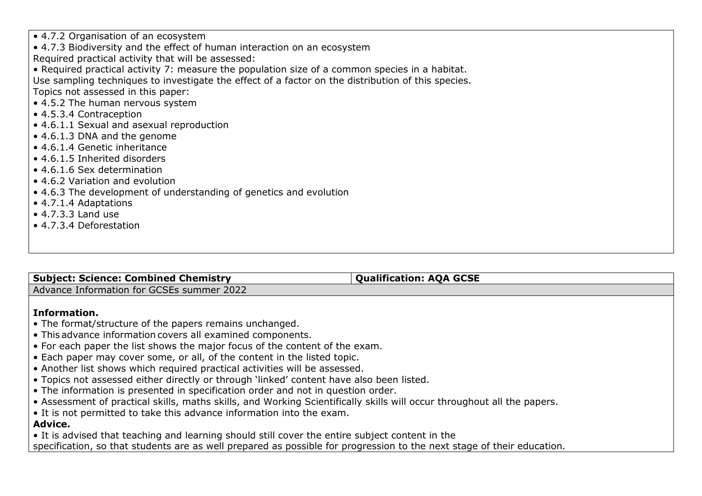• 4.7.2 Organisation of an ecosystem

• 4.7.3 Biodiversity and the effect of human interaction on an ecosystem

Required practical activity that will be assessed:

• Required practical activity 7: measure the population size of a common species in a habitat.

Use sampling techniques to investigate the effect of a factor on the distribution of this species.

Topics not assessed in this paper:

- 4.5.2 The human nervous system
- 4.5.3.4 Contraception
- 4.6.1.1 Sexual and asexual reproduction
- 4.6.1.3 DNA and the genome
- 4.6.1.4 Genetic inheritance
- 4.6.1.5 Inherited disorders
- 4.6.1.6 Sex determination
- 4.6.2 Variation and evolution
- 4.6.3 The development of understanding of genetics and evolution
- 4.7.1.4 Adaptations
- 4.7.3.3 Land use
- 4.7.3.4 Deforestation

| <b>Subject: Science: Combined Chemistry</b>                                                                                   | <b>Qualification: AQA GCSE</b> |  |
|-------------------------------------------------------------------------------------------------------------------------------|--------------------------------|--|
| Advance Information for GCSEs summer 2022                                                                                     |                                |  |
|                                                                                                                               |                                |  |
| Information.                                                                                                                  |                                |  |
| $\bullet$ The format/structure of the papers remains unchanged.                                                               |                                |  |
| $\cdot$ This advance information covers all examined components.                                                              |                                |  |
| $\vert \bullet$ For each paper the list shows the major focus of the content of the exam.                                     |                                |  |
| $\bullet$ Each paper may cover some, or all, of the content in the listed topic.                                              |                                |  |
| $\bullet$ Another list shows which required practical activities will be assessed.                                            |                                |  |
| $\bullet$ Topics not assessed either directly or through 'linked' content have also been listed.                              |                                |  |
| $\bullet$ The information is presented in specification order and not in question order.                                      |                                |  |
| $\cdot$ Assessment of practical skills, maths skills, and Working Scientifically skills will occur throughout all the papers. |                                |  |

• It is not permitted to take this advance information into the exam.

**Advice.**

• It is advised that teaching and learning should still cover the entire subject content in the

specification, so that students are as well prepared as possible for progression to the next stage of their education.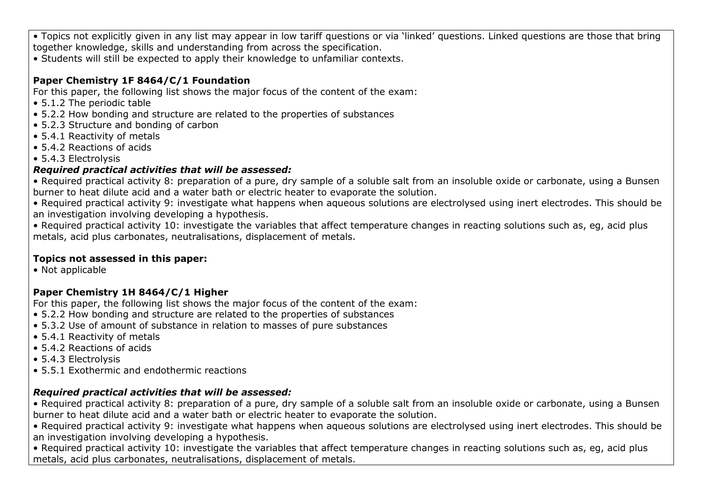• Topics not explicitly given in any list may appear in low tariff questions or via 'linked' questions. Linked questions are those that bring together knowledge, skills and understanding from across the specification.

• Students will still be expected to apply their knowledge to unfamiliar contexts.

## **Paper Chemistry 1F 8464/C/1 Foundation**

For this paper, the following list shows the major focus of the content of the exam:

- 5.1.2 The periodic table
- 5.2.2 How bonding and structure are related to the properties of substances
- 5.2.3 Structure and bonding of carbon
- 5.4.1 Reactivity of metals
- 5.4.2 Reactions of acids
- 5.4.3 Electrolysis

## *Required practical activities that will be assessed:*

• Required practical activity 8: preparation of a pure, dry sample of a soluble salt from an insoluble oxide or carbonate, using a Bunsen burner to heat dilute acid and a water bath or electric heater to evaporate the solution.

• Required practical activity 9: investigate what happens when aqueous solutions are electrolysed using inert electrodes. This should be an investigation involving developing a hypothesis.

• Required practical activity 10: investigate the variables that affect temperature changes in reacting solutions such as, eg, acid plus metals, acid plus carbonates, neutralisations, displacement of metals.

## **Topics not assessed in this paper:**

• Not applicable

## **Paper Chemistry 1H 8464/C/1 Higher**

For this paper, the following list shows the major focus of the content of the exam:

- 5.2.2 How bonding and structure are related to the properties of substances
- 5.3.2 Use of amount of substance in relation to masses of pure substances
- 5.4.1 Reactivity of metals
- 5.4.2 Reactions of acids
- 5.4.3 Electrolysis
- 5.5.1 Exothermic and endothermic reactions

## *Required practical activities that will be assessed:*

• Required practical activity 8: preparation of a pure, dry sample of a soluble salt from an insoluble oxide or carbonate, using a Bunsen burner to heat dilute acid and a water bath or electric heater to evaporate the solution.

• Required practical activity 9: investigate what happens when aqueous solutions are electrolysed using inert electrodes. This should be an investigation involving developing a hypothesis.

• Required practical activity 10: investigate the variables that affect temperature changes in reacting solutions such as, eg, acid plus metals, acid plus carbonates, neutralisations, displacement of metals.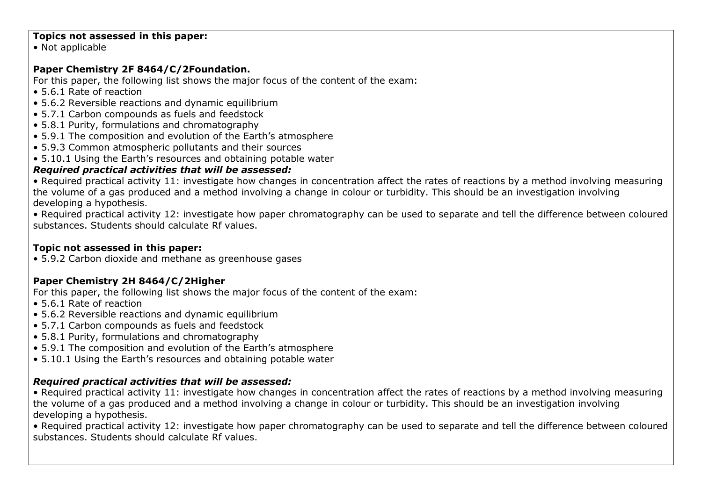### **Topics not assessed in this paper:**

• Not applicable

## **Paper Chemistry 2F 8464/C/2Foundation.**

For this paper, the following list shows the major focus of the content of the exam:

- 5.6.1 Rate of reaction
- 5.6.2 Reversible reactions and dynamic equilibrium
- 5.7.1 Carbon compounds as fuels and feedstock
- 5.8.1 Purity, formulations and chromatography
- 5.9.1 The composition and evolution of the Earth's atmosphere
- 5.9.3 Common atmospheric pollutants and their sources
- 5.10.1 Using the Earth's resources and obtaining potable water

## *Required practical activities that will be assessed:*

• Required practical activity 11: investigate how changes in concentration affect the rates of reactions by a method involving measuring the volume of a gas produced and a method involving a change in colour or turbidity. This should be an investigation involving developing a hypothesis.

• Required practical activity 12: investigate how paper chromatography can be used to separate and tell the difference between coloured substances. Students should calculate Rf values.

## **Topic not assessed in this paper:**

• 5.9.2 Carbon dioxide and methane as greenhouse gases

## **Paper Chemistry 2H 8464/C/2Higher**

For this paper, the following list shows the major focus of the content of the exam:

- 5.6.1 Rate of reaction
- 5.6.2 Reversible reactions and dynamic equilibrium
- 5.7.1 Carbon compounds as fuels and feedstock
- 5.8.1 Purity, formulations and chromatography
- 5.9.1 The composition and evolution of the Earth's atmosphere
- 5.10.1 Using the Earth's resources and obtaining potable water

## *Required practical activities that will be assessed:*

• Required practical activity 11: investigate how changes in concentration affect the rates of reactions by a method involving measuring the volume of a gas produced and a method involving a change in colour or turbidity. This should be an investigation involving developing a hypothesis.

• Required practical activity 12: investigate how paper chromatography can be used to separate and tell the difference between coloured substances. Students should calculate Rf values.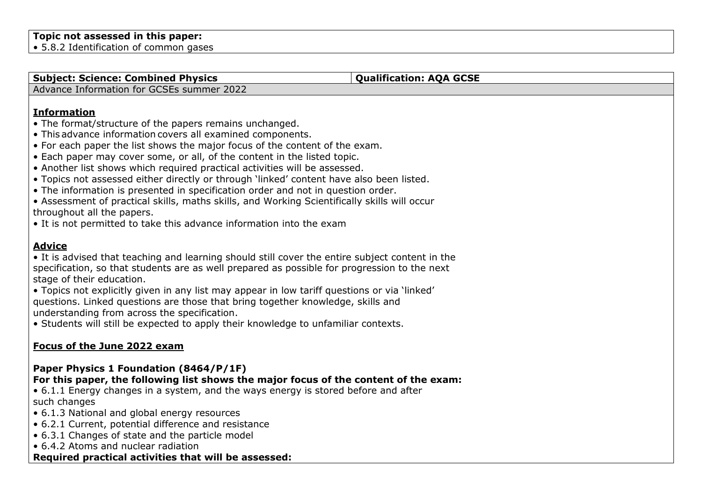### **Topic not assessed in this paper:**

• 5.8.2 Identification of common gases

#### **Subject: Science: Combined Physics <b>Qualification: AOA** GCSE

Advance Information for GCSEs summer 2022

## **Information**

- The format/structure of the papers remains unchanged.
- This advance information covers all examined components.
- For each paper the list shows the major focus of the content of the exam.
- Each paper may cover some, or all, of the content in the listed topic.
- Another list shows which required practical activities will be assessed.
- Topics not assessed either directly or through 'linked' content have also been listed.
- The information is presented in specification order and not in question order.

• Assessment of practical skills, maths skills, and Working Scientifically skills will occur throughout all the papers.

• It is not permitted to take this advance information into the exam

## **Advice**

• It is advised that teaching and learning should still cover the entire subject content in the specification, so that students are as well prepared as possible for progression to the next stage of their education.

• Topics not explicitly given in any list may appear in low tariff questions or via 'linked' questions. Linked questions are those that bring together knowledge, skills and understanding from across the specification.

• Students will still be expected to apply their knowledge to unfamiliar contexts.

## **Focus of the June 2022 exam**

#### **Paper Physics 1 Foundation (8464/P/1F) For this paper, the following list shows the major focus of the content of the exam:**

• 6.1.1 Energy changes in a system, and the ways energy is stored before and after such changes

- 6.1.3 National and global energy resources
- 6.2.1 Current, potential difference and resistance
- 6.3.1 Changes of state and the particle model

• 6.4.2 Atoms and nuclear radiation

## **Required practical activities that will be assessed:**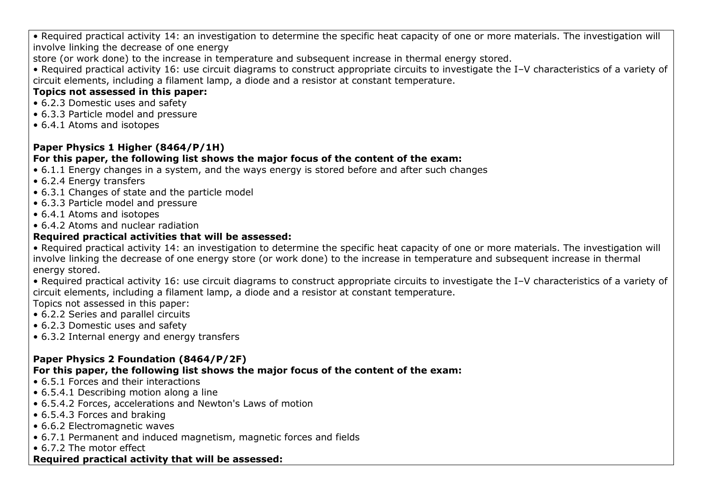• Required practical activity 14: an investigation to determine the specific heat capacity of one or more materials. The investigation will involve linking the decrease of one energy

store (or work done) to the increase in temperature and subsequent increase in thermal energy stored.

• Required practical activity 16: use circuit diagrams to construct appropriate circuits to investigate the I–V characteristics of a variety of circuit elements, including a filament lamp, a diode and a resistor at constant temperature.

## **Topics not assessed in this paper:**

- 6.2.3 Domestic uses and safety
- 6.3.3 Particle model and pressure
- 6.4.1 Atoms and isotopes

## **Paper Physics 1 Higher (8464/P/1H)**

## **For this paper, the following list shows the major focus of the content of the exam:**

- 6.1.1 Energy changes in a system, and the ways energy is stored before and after such changes
- 6.2.4 Energy transfers
- 6.3.1 Changes of state and the particle model
- 6.3.3 Particle model and pressure
- 6.4.1 Atoms and isotopes
- 6.4.2 Atoms and nuclear radiation

## **Required practical activities that will be assessed:**

• Required practical activity 14: an investigation to determine the specific heat capacity of one or more materials. The investigation will involve linking the decrease of one energy store (or work done) to the increase in temperature and subsequent increase in thermal energy stored.

• Required practical activity 16: use circuit diagrams to construct appropriate circuits to investigate the I–V characteristics of a variety of circuit elements, including a filament lamp, a diode and a resistor at constant temperature.

Topics not assessed in this paper:

- 6.2.2 Series and parallel circuits
- 6.2.3 Domestic uses and safety
- 6.3.2 Internal energy and energy transfers

## **Paper Physics 2 Foundation (8464/P/2F)**

## **For this paper, the following list shows the major focus of the content of the exam:**

- 6.5.1 Forces and their interactions
- 6.5.4.1 Describing motion along a line
- 6.5.4.2 Forces, accelerations and Newton's Laws of motion
- 6.5.4.3 Forces and braking
- 6.6.2 Electromagnetic waves
- 6.7.1 Permanent and induced magnetism, magnetic forces and fields
- 6.7.2 The motor effect

## **Required practical activity that will be assessed:**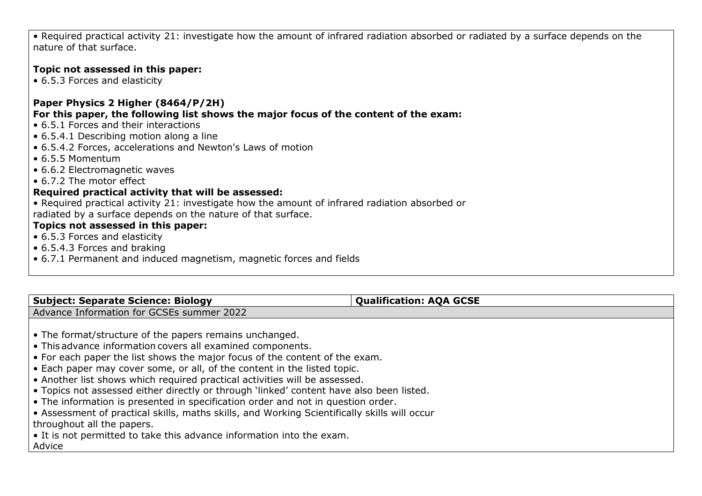• Required practical activity 21: investigate how the amount of infrared radiation absorbed or radiated by a surface depends on the nature of that surface.

## **Topic not assessed in this paper:**

• 6.5.3 Forces and elasticity

## **Paper Physics 2 Higher (8464/P/2H)**

**For this paper, the following list shows the major focus of the content of the exam:**

- 6.5.1 Forces and their interactions
- 6.5.4.1 Describing motion along a line
- 6.5.4.2 Forces, accelerations and Newton's Laws of motion
- 6.5.5 Momentum
- 6.6.2 Electromagnetic waves
- 6.7.2 The motor effect

## **Required practical activity that will be assessed:**

• Required practical activity 21: investigate how the amount of infrared radiation absorbed or radiated by a surface depends on the nature of that surface.

## **Topics not assessed in this paper:**

- 6.5.3 Forces and elasticity
- 6.5.4.3 Forces and braking
- 6.7.1 Permanent and induced magnetism, magnetic forces and fields

| <b>Subject: Separate Science: Biology</b>                                                    | <b>Qualification: AQA GCSE</b> |  |
|----------------------------------------------------------------------------------------------|--------------------------------|--|
| Advance Information for GCSEs summer 2022                                                    |                                |  |
|                                                                                              |                                |  |
| • The format/structure of the papers remains unchanged.                                      |                                |  |
| • This advance information covers all examined components.                                   |                                |  |
| • For each paper the list shows the major focus of the content of the exam.                  |                                |  |
| • Each paper may cover some, or all, of the content in the listed topic.                     |                                |  |
| • Another list shows which required practical activities will be assessed.                   |                                |  |
| . Topics not assessed either directly or through 'linked' content have also been listed.     |                                |  |
| • The information is presented in specification order and not in question order.             |                                |  |
| • Assessment of practical skills, maths skills, and Working Scientifically skills will occur |                                |  |
| throughout all the papers.                                                                   |                                |  |
| • It is not permitted to take this advance information into the exam.                        |                                |  |
| Advice                                                                                       |                                |  |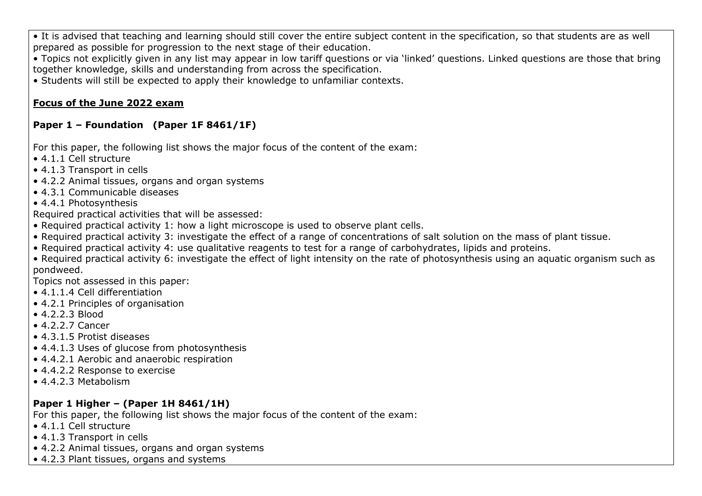• It is advised that teaching and learning should still cover the entire subject content in the specification, so that students are as well prepared as possible for progression to the next stage of their education.

• Topics not explicitly given in any list may appear in low tariff questions or via 'linked' questions. Linked questions are those that bring together knowledge, skills and understanding from across the specification.

• Students will still be expected to apply their knowledge to unfamiliar contexts.

## **Focus of the June 2022 exam**

## **Paper 1 – Foundation (Paper 1F 8461/1F)**

For this paper, the following list shows the major focus of the content of the exam:

- 4.1.1 Cell structure
- 4.1.3 Transport in cells
- 4.2.2 Animal tissues, organs and organ systems
- 4.3.1 Communicable diseases
- 4.4.1 Photosynthesis

Required practical activities that will be assessed:

- Required practical activity 1: how a light microscope is used to observe plant cells.
- Required practical activity 3: investigate the effect of a range of concentrations of salt solution on the mass of plant tissue.
- Required practical activity 4: use qualitative reagents to test for a range of carbohydrates, lipids and proteins.

• Required practical activity 6: investigate the effect of light intensity on the rate of photosynthesis using an aquatic organism such as pondweed.

Topics not assessed in this paper:

- 4.1.1.4 Cell differentiation
- 4.2.1 Principles of organisation
- 4.2.2.3 Blood
- 4.2.2.7 Cancer
- 4.3.1.5 Protist diseases
- 4.4.1.3 Uses of glucose from photosynthesis
- 4.4.2.1 Aerobic and anaerobic respiration
- 4.4.2.2 Response to exercise
- 4.4.2.3 Metabolism

## **Paper 1 Higher – (Paper 1H 8461/1H)**

For this paper, the following list shows the major focus of the content of the exam:

- 4.1.1 Cell structure
- 4.1.3 Transport in cells
- 4.2.2 Animal tissues, organs and organ systems
- 4.2.3 Plant tissues, organs and systems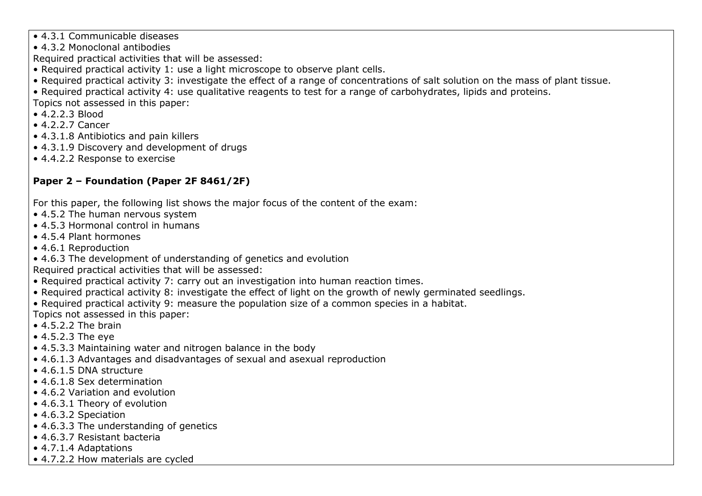- 4.3.1 Communicable diseases
- 4.3.2 Monoclonal antibodies
- Required practical activities that will be assessed:
- Required practical activity 1: use a light microscope to observe plant cells.
- Required practical activity 3: investigate the effect of a range of concentrations of salt solution on the mass of plant tissue.
- Required practical activity 4: use qualitative reagents to test for a range of carbohydrates, lipids and proteins.
- Topics not assessed in this paper:
- 4.2.2.3 Blood
- 4.2.2.7 Cancer
- 4.3.1.8 Antibiotics and pain killers
- 4.3.1.9 Discovery and development of drugs
- 4.4.2.2 Response to exercise

## **Paper 2 – Foundation (Paper 2F 8461/2F)**

For this paper, the following list shows the major focus of the content of the exam:

- 4.5.2 The human nervous system
- 4.5.3 Hormonal control in humans
- 4.5.4 Plant hormones
- 4.6.1 Reproduction
- 4.6.3 The development of understanding of genetics and evolution

Required practical activities that will be assessed:

- Required practical activity 7: carry out an investigation into human reaction times.
- Required practical activity 8: investigate the effect of light on the growth of newly germinated seedlings.
- Required practical activity 9: measure the population size of a common species in a habitat.

Topics not assessed in this paper:

- 4.5.2.2 The brain
- 4.5.2.3 The eye
- 4.5.3.3 Maintaining water and nitrogen balance in the body
- 4.6.1.3 Advantages and disadvantages of sexual and asexual reproduction
- 4.6.1.5 DNA structure
- 4.6.1.8 Sex determination
- 4.6.2 Variation and evolution
- 4.6.3.1 Theory of evolution
- 4.6.3.2 Speciation
- 4.6.3.3 The understanding of genetics
- 4.6.3.7 Resistant bacteria
- 4.7.1.4 Adaptations
- 4.7.2.2 How materials are cycled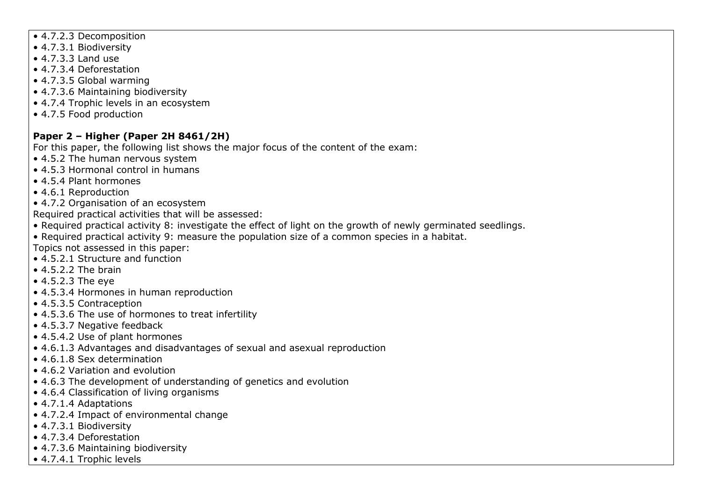- 4.7.2.3 Decomposition
- 4.7.3.1 Biodiversity
- 4.7.3.3 Land use
- 4.7.3.4 Deforestation
- 4.7.3.5 Global warming
- 4.7.3.6 Maintaining biodiversity
- 4.7.4 Trophic levels in an ecosystem
- 4.7.5 Food production

## **Paper 2 – Higher (Paper 2H 8461/2H)**

For this paper, the following list shows the major focus of the content of the exam:

- 4.5.2 The human nervous system
- 4.5.3 Hormonal control in humans
- 4.5.4 Plant hormones
- 4.6.1 Reproduction
- 4.7.2 Organisation of an ecosystem

Required practical activities that will be assessed:

- Required practical activity 8: investigate the effect of light on the growth of newly germinated seedlings.
- Required practical activity 9: measure the population size of a common species in a habitat.

Topics not assessed in this paper:

- 4.5.2.1 Structure and function
- $\bullet$  4.5.2.2 The brain
- 4.5.2.3 The eye
- 4.5.3.4 Hormones in human reproduction
- 4.5.3.5 Contraception
- 4.5.3.6 The use of hormones to treat infertility
- 4.5.3.7 Negative feedback
- 4.5.4.2 Use of plant hormones
- 4.6.1.3 Advantages and disadvantages of sexual and asexual reproduction
- 4.6.1.8 Sex determination
- 4.6.2 Variation and evolution
- 4.6.3 The development of understanding of genetics and evolution
- 4.6.4 Classification of living organisms
- 4.7.1.4 Adaptations
- 4.7.2.4 Impact of environmental change
- 4.7.3.1 Biodiversity
- 4.7.3.4 Deforestation
- 4.7.3.6 Maintaining biodiversity
- 4.7.4.1 Trophic levels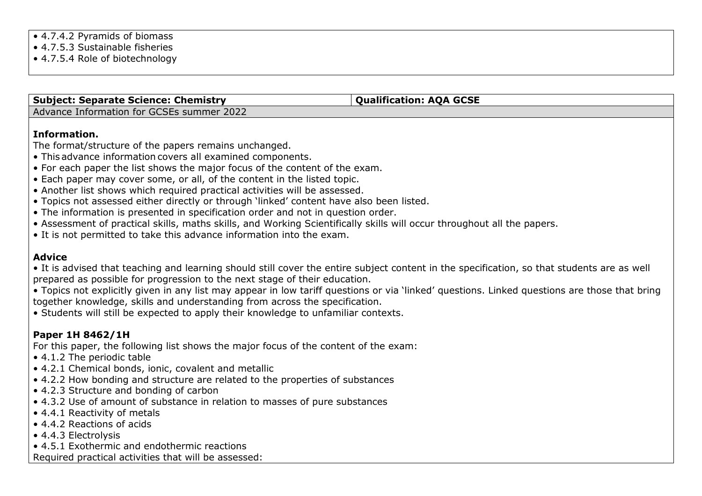• 4.7.5.3 Sustainable fisheries

• 4.7.5.4 Role of biotechnology

#### **Subject: Separate Science: Chemistry <b>ACCSE Qualification: AQA** GCSE

Advance Information for GCSEs summer 2022

## **Information.**

The format/structure of the papers remains unchanged.

- This advance information covers all examined components.
- For each paper the list shows the major focus of the content of the exam.
- Each paper may cover some, or all, of the content in the listed topic.
- Another list shows which required practical activities will be assessed.
- Topics not assessed either directly or through 'linked' content have also been listed.
- The information is presented in specification order and not in question order.
- Assessment of practical skills, maths skills, and Working Scientifically skills will occur throughout all the papers.
- It is not permitted to take this advance information into the exam.

## **Advice**

• It is advised that teaching and learning should still cover the entire subject content in the specification, so that students are as well prepared as possible for progression to the next stage of their education.

• Topics not explicitly given in any list may appear in low tariff questions or via 'linked' questions. Linked questions are those that bring together knowledge, skills and understanding from across the specification.

• Students will still be expected to apply their knowledge to unfamiliar contexts.

## **Paper 1H 8462/1H**

For this paper, the following list shows the major focus of the content of the exam:

- 4.1.2 The periodic table
- 4.2.1 Chemical bonds, ionic, covalent and metallic
- 4.2.2 How bonding and structure are related to the properties of substances
- 4.2.3 Structure and bonding of carbon
- 4.3.2 Use of amount of substance in relation to masses of pure substances
- 4.4.1 Reactivity of metals
- 4.4.2 Reactions of acids
- 4.4.3 Electrolysis
- 4.5.1 Exothermic and endothermic reactions

Required practical activities that will be assessed: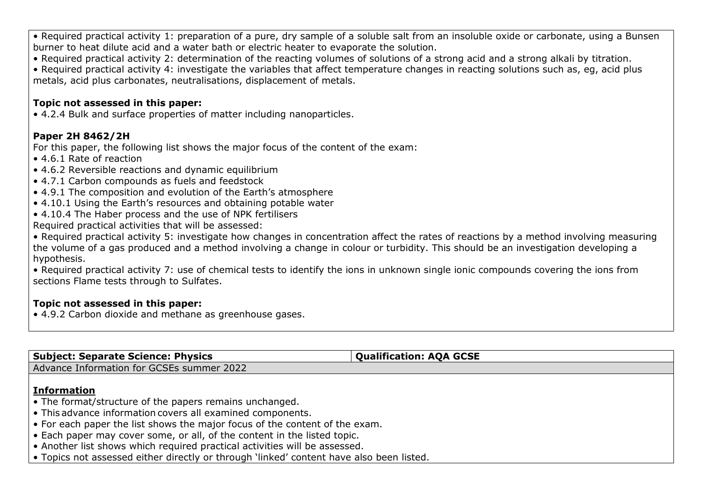• Required practical activity 1: preparation of a pure, dry sample of a soluble salt from an insoluble oxide or carbonate, using a Bunsen burner to heat dilute acid and a water bath or electric heater to evaporate the solution.

• Required practical activity 2: determination of the reacting volumes of solutions of a strong acid and a strong alkali by titration.

• Required practical activity 4: investigate the variables that affect temperature changes in reacting solutions such as, eg, acid plus metals, acid plus carbonates, neutralisations, displacement of metals.

## **Topic not assessed in this paper:**

• 4.2.4 Bulk and surface properties of matter including nanoparticles.

## **Paper 2H 8462/2H**

For this paper, the following list shows the major focus of the content of the exam:

- 4.6.1 Rate of reaction
- 4.6.2 Reversible reactions and dynamic equilibrium
- 4.7.1 Carbon compounds as fuels and feedstock
- 4.9.1 The composition and evolution of the Earth's atmosphere
- 4.10.1 Using the Earth's resources and obtaining potable water
- 4.10.4 The Haber process and the use of NPK fertilisers

Required practical activities that will be assessed:

• Required practical activity 5: investigate how changes in concentration affect the rates of reactions by a method involving measuring the volume of a gas produced and a method involving a change in colour or turbidity. This should be an investigation developing a hypothesis.

• Required practical activity 7: use of chemical tests to identify the ions in unknown single ionic compounds covering the ions from sections Flame tests through to Sulfates.

## **Topic not assessed in this paper:**

• 4.9.2 Carbon dioxide and methane as greenhouse gases.

| <b>Subject: Separate Science: Physics</b>                                                                                                                                                                                                                                                                                                                                                                                                                                        | <b>Qualification: AQA GCSE</b> |
|----------------------------------------------------------------------------------------------------------------------------------------------------------------------------------------------------------------------------------------------------------------------------------------------------------------------------------------------------------------------------------------------------------------------------------------------------------------------------------|--------------------------------|
| Advance Information for GCSEs summer 2022                                                                                                                                                                                                                                                                                                                                                                                                                                        |                                |
| <b>Information</b><br>• The format/structure of the papers remains unchanged.<br>• This advance information covers all examined components.<br>• For each paper the list shows the major focus of the content of the exam.<br>• Each paper may cover some, or all, of the content in the listed topic.<br>• Another list shows which required practical activities will be assessed.<br>• Topics not assessed either directly or through 'linked' content have also been listed. |                                |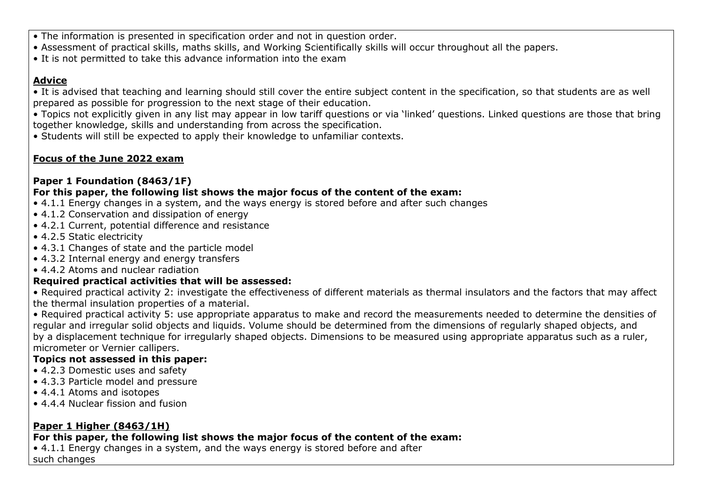- The information is presented in specification order and not in question order.
- Assessment of practical skills, maths skills, and Working Scientifically skills will occur throughout all the papers.
- It is not permitted to take this advance information into the exam

## **Advice**

• It is advised that teaching and learning should still cover the entire subject content in the specification, so that students are as well prepared as possible for progression to the next stage of their education.

• Topics not explicitly given in any list may appear in low tariff questions or via 'linked' questions. Linked questions are those that bring together knowledge, skills and understanding from across the specification.

• Students will still be expected to apply their knowledge to unfamiliar contexts.

## **Focus of the June 2022 exam**

## **Paper 1 Foundation (8463/1F)**

## **For this paper, the following list shows the major focus of the content of the exam:**

- 4.1.1 Energy changes in a system, and the ways energy is stored before and after such changes
- 4.1.2 Conservation and dissipation of energy
- 4.2.1 Current, potential difference and resistance
- 4.2.5 Static electricity
- 4.3.1 Changes of state and the particle model
- 4.3.2 Internal energy and energy transfers
- 4.4.2 Atoms and nuclear radiation

## **Required practical activities that will be assessed:**

• Required practical activity 2: investigate the effectiveness of different materials as thermal insulators and the factors that may affect the thermal insulation properties of a material.

• Required practical activity 5: use appropriate apparatus to make and record the measurements needed to determine the densities of regular and irregular solid objects and liquids. Volume should be determined from the dimensions of regularly shaped objects, and by a displacement technique for irregularly shaped objects. Dimensions to be measured using appropriate apparatus such as a ruler, micrometer or Vernier callipers.

## **Topics not assessed in this paper:**

- 4.2.3 Domestic uses and safety
- 4.3.3 Particle model and pressure
- 4.4.1 Atoms and isotopes
- 4.4.4 Nuclear fission and fusion

## **Paper 1 Higher (8463/1H)**

## **For this paper, the following list shows the major focus of the content of the exam:**

• 4.1.1 Energy changes in a system, and the ways energy is stored before and after such changes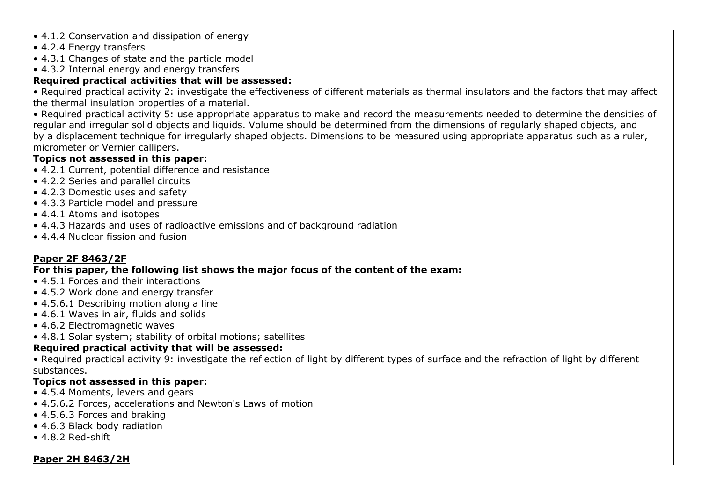- 4.1.2 Conservation and dissipation of energy
- 4.2.4 Energy transfers
- 4.3.1 Changes of state and the particle model
- 4.3.2 Internal energy and energy transfers

## **Required practical activities that will be assessed:**

• Required practical activity 2: investigate the effectiveness of different materials as thermal insulators and the factors that may affect the thermal insulation properties of a material.

• Required practical activity 5: use appropriate apparatus to make and record the measurements needed to determine the densities of regular and irregular solid objects and liquids. Volume should be determined from the dimensions of regularly shaped objects, and by a displacement technique for irregularly shaped objects. Dimensions to be measured using appropriate apparatus such as a ruler, micrometer or Vernier callipers.

## **Topics not assessed in this paper:**

- 4.2.1 Current, potential difference and resistance
- 4.2.2 Series and parallel circuits
- 4.2.3 Domestic uses and safety
- 4.3.3 Particle model and pressure
- 4.4.1 Atoms and isotopes
- 4.4.3 Hazards and uses of radioactive emissions and of background radiation
- 4.4.4 Nuclear fission and fusion

## **Paper 2F 8463/2F**

## **For this paper, the following list shows the major focus of the content of the exam:**

- 4.5.1 Forces and their interactions
- 4.5.2 Work done and energy transfer
- 4.5.6.1 Describing motion along a line
- 4.6.1 Waves in air, fluids and solids
- 4.6.2 Electromagnetic waves
- 4.8.1 Solar system; stability of orbital motions; satellites

## **Required practical activity that will be assessed:**

• Required practical activity 9: investigate the reflection of light by different types of surface and the refraction of light by different substances.

## **Topics not assessed in this paper:**

- 4.5.4 Moments, levers and gears
- 4.5.6.2 Forces, accelerations and Newton's Laws of motion
- 4.5.6.3 Forces and braking
- 4.6.3 Black body radiation
- 4.8.2 Red-shift

## **Paper 2H 8463/2H**